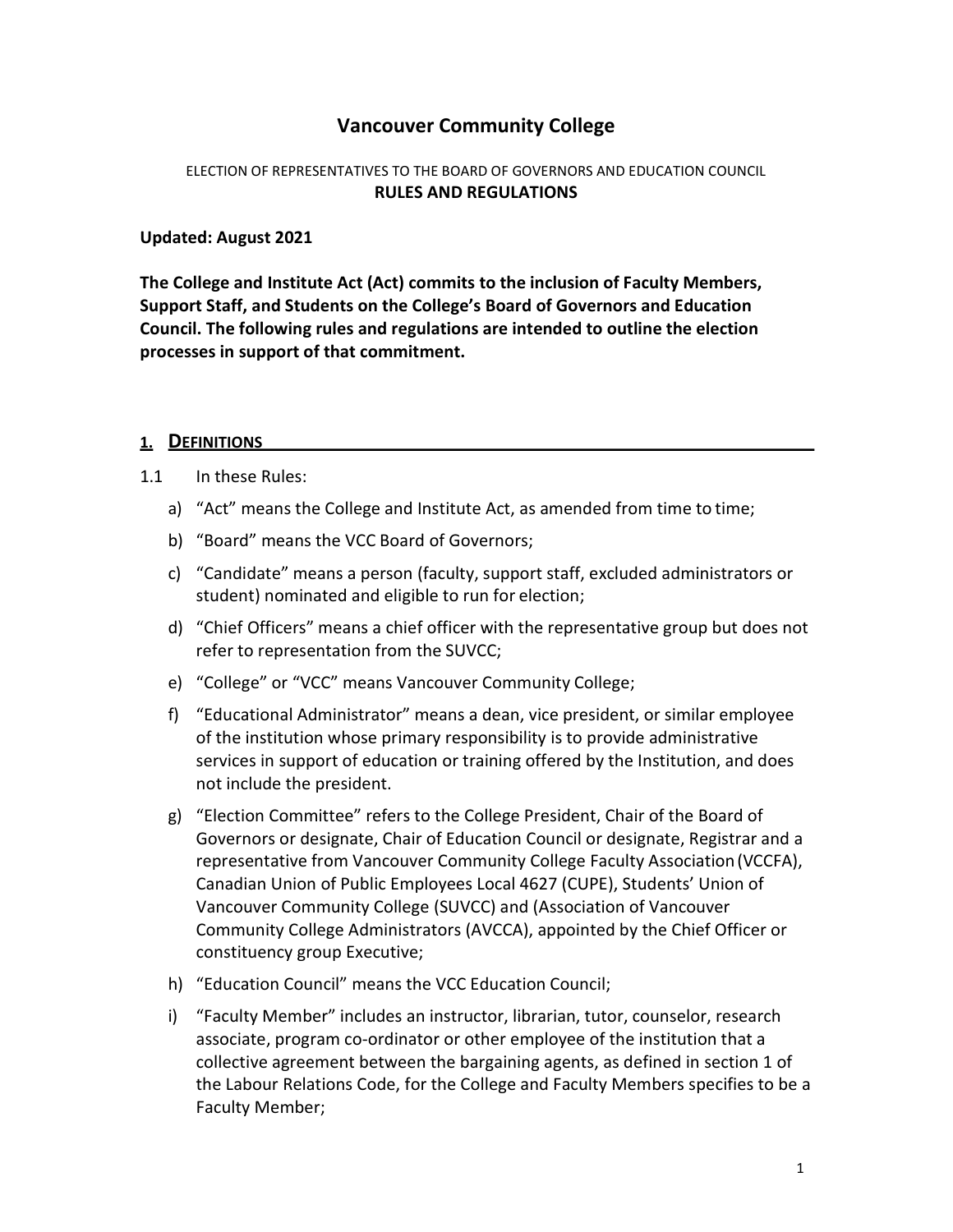## Vancouver Community College

#### ELECTION OF REPRESENTATIVES TO THE BOARD OF GOVERNORS AND EDUCATION COUNCIL RULES AND REGULATIONS

#### Updated: August 2021

The College and Institute Act (Act) commits to the inclusion of Faculty Members, Support Staff, and Students on the College's Board of Governors and Education Council. The following rules and regulations are intended to outline the election processes in support of that commitment.

#### 1. DEFINITIONS

#### 1.1 In these Rules:

- a) "Act" means the College and Institute Act, as amended from time to time;
- b) "Board" means the VCC Board of Governors;
- c) "Candidate" means a person (faculty, support staff, excluded administrators or student) nominated and eligible to run for election;
- d) "Chief Officers" means a chief officer with the representative group but does not refer to representation from the SUVCC;
- e) "College" or "VCC" means Vancouver Community College;
- f) "Educational Administrator" means a dean, vice president, or similar employee of the institution whose primary responsibility is to provide administrative services in support of education or training offered by the Institution, and does not include the president.
- g) "Election Committee" refers to the College President, Chair of the Board of Governors or designate, Chair of Education Council or designate, Registrar and a representative from Vancouver Community College Faculty Association (VCCFA), Canadian Union of Public Employees Local 4627 (CUPE), Students' Union of Vancouver Community College (SUVCC) and (Association of Vancouver Community College Administrators (AVCCA), appointed by the Chief Officer or constituency group Executive;
- h) "Education Council" means the VCC Education Council;
- i) "Faculty Member" includes an instructor, librarian, tutor, counselor, research associate, program co-ordinator or other employee of the institution that a collective agreement between the bargaining agents, as defined in section 1 of the Labour Relations Code, for the College and Faculty Members specifies to be a Faculty Member;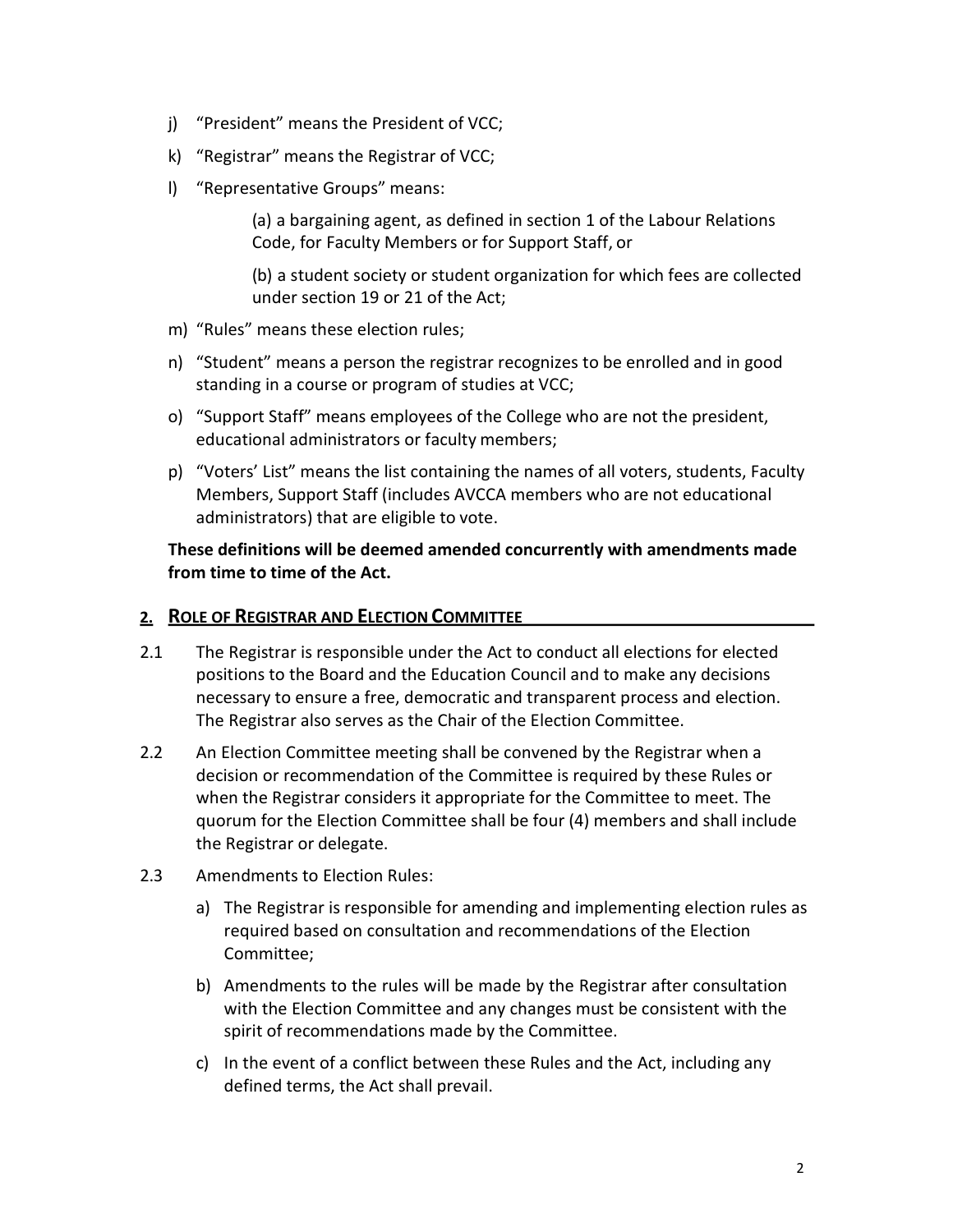- j) "President" means the President of VCC;
- k) "Registrar" means the Registrar of VCC;
- l) "Representative Groups" means:

(a) a bargaining agent, as defined in section 1 of the Labour Relations Code, for Faculty Members or for Support Staff, or

(b) a student society or student organization for which fees are collected under section 19 or 21 of the Act;

- m) "Rules" means these election rules;
- n) "Student" means a person the registrar recognizes to be enrolled and in good standing in a course or program of studies at VCC;
- o) "Support Staff" means employees of the College who are not the president, educational administrators or faculty members;
- p) "Voters' List" means the list containing the names of all voters, students, Faculty Members, Support Staff (includes AVCCA members who are not educational administrators) that are eligible to vote.

These definitions will be deemed amended concurrently with amendments made from time to time of the Act.

#### 2. ROLE OF REGISTRAR AND ELECTION COMMITTEE

- 2.1 The Registrar is responsible under the Act to conduct all elections for elected positions to the Board and the Education Council and to make any decisions necessary to ensure a free, democratic and transparent process and election. The Registrar also serves as the Chair of the Election Committee.
- 2.2 An Election Committee meeting shall be convened by the Registrar when a decision or recommendation of the Committee is required by these Rules or when the Registrar considers it appropriate for the Committee to meet. The quorum for the Election Committee shall be four (4) members and shall include the Registrar or delegate.
- 2.3 Amendments to Election Rules:
	- a) The Registrar is responsible for amending and implementing election rules as required based on consultation and recommendations of the Election Committee;
	- b) Amendments to the rules will be made by the Registrar after consultation with the Election Committee and any changes must be consistent with the spirit of recommendations made by the Committee.
	- c) In the event of a conflict between these Rules and the Act, including any defined terms, the Act shall prevail.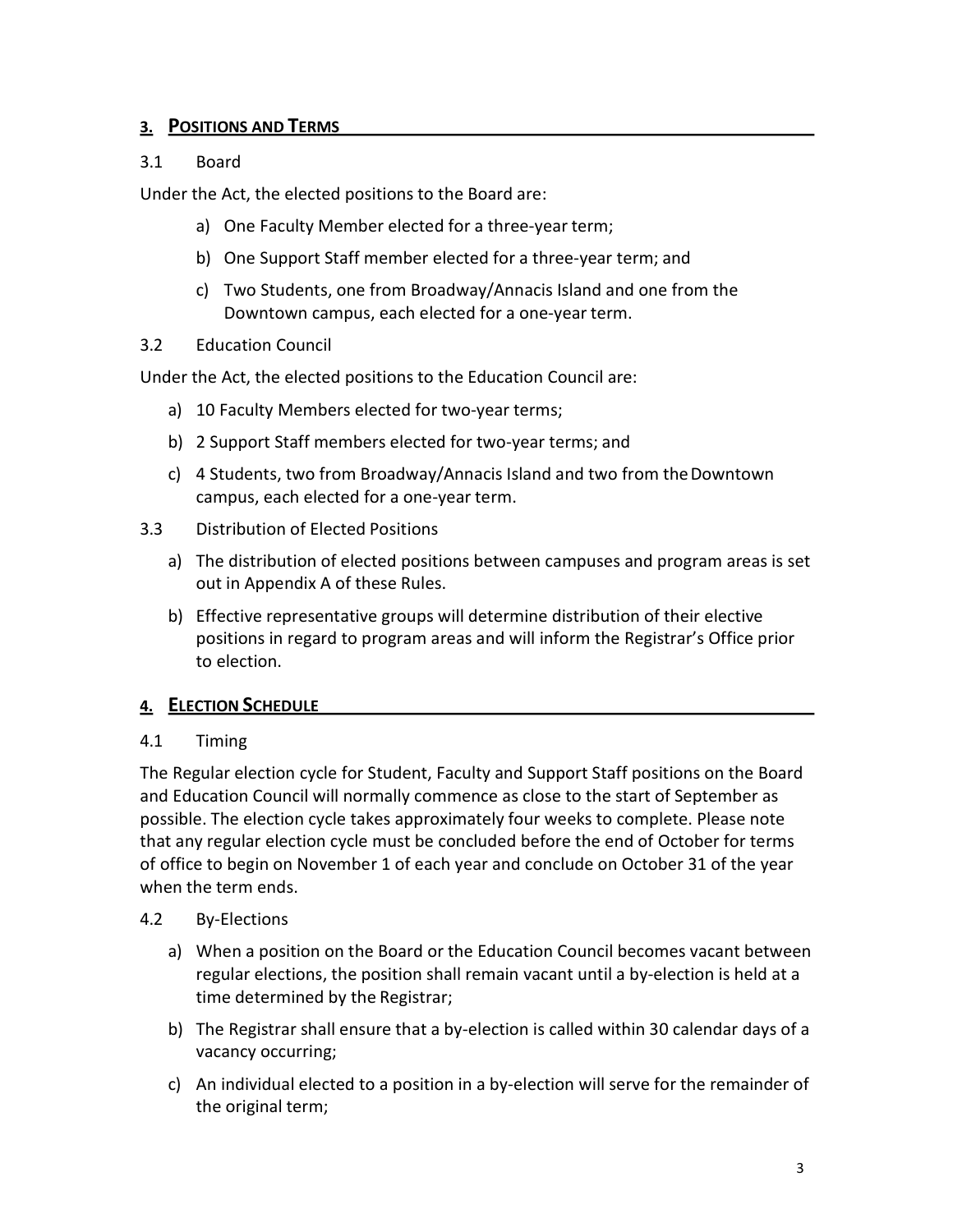### 3. POSITIONS AND TERMS

### 3.1 Board

Under the Act, the elected positions to the Board are:

- a) One Faculty Member elected for a three-year term;
- b) One Support Staff member elected for a three-year term; and
- c) Two Students, one from Broadway/Annacis Island and one from the Downtown campus, each elected for a one-year term.
- 3.2 Education Council

Under the Act, the elected positions to the Education Council are:

- a) 10 Faculty Members elected for two-year terms;
- b) 2 Support Staff members elected for two-year terms; and
- c) 4 Students, two from Broadway/Annacis Island and two from the Downtown campus, each elected for a one-year term.
- 3.3 Distribution of Elected Positions
	- a) The distribution of elected positions between campuses and program areas is set out in Appendix A of these Rules.
	- b) Effective representative groups will determine distribution of their elective positions in regard to program areas and will inform the Registrar's Office prior to election.

### 4. ELECTION SCHEDULE

### 4.1 Timing

The Regular election cycle for Student, Faculty and Support Staff positions on the Board and Education Council will normally commence as close to the start of September as possible. The election cycle takes approximately four weeks to complete. Please note that any regular election cycle must be concluded before the end of October for terms of office to begin on November 1 of each year and conclude on October 31 of the year when the term ends.

### 4.2 By-Elections

- a) When a position on the Board or the Education Council becomes vacant between regular elections, the position shall remain vacant until a by-election is held at a time determined by the Registrar;
- b) The Registrar shall ensure that a by-election is called within 30 calendar days of a vacancy occurring;
- c) An individual elected to a position in a by-election will serve for the remainder of the original term;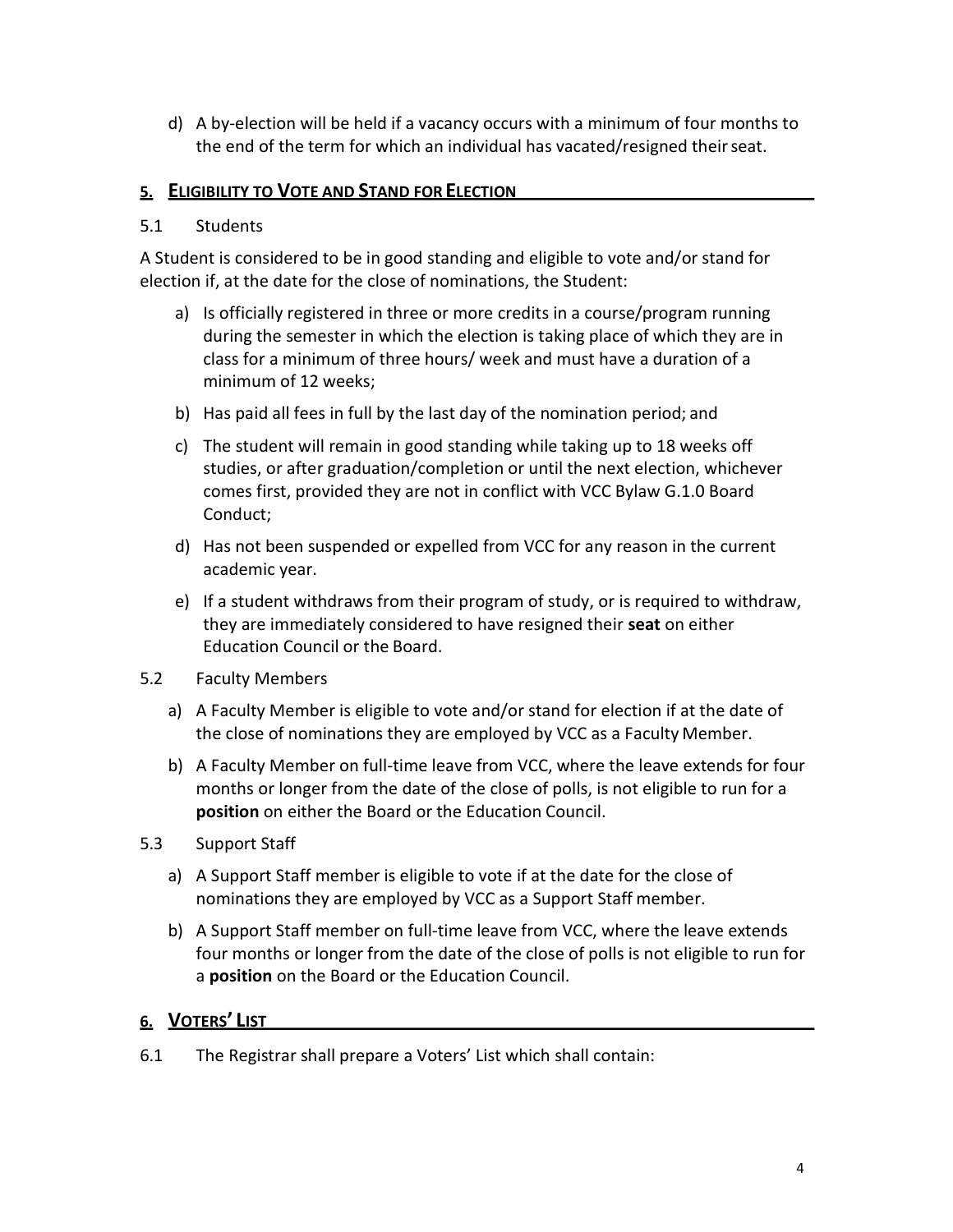d) A by-election will be held if a vacancy occurs with a minimum of four months to the end of the term for which an individual has vacated/resigned their seat.

### 5. ELIGIBILITY TO VOTE AND STAND FOR ELECTION

### 5.1 Students

A Student is considered to be in good standing and eligible to vote and/or stand for election if, at the date for the close of nominations, the Student:

- a) Is officially registered in three or more credits in a course/program running during the semester in which the election is taking place of which they are in class for a minimum of three hours/ week and must have a duration of a minimum of 12 weeks;
- b) Has paid all fees in full by the last day of the nomination period; and
- c) The student will remain in good standing while taking up to 18 weeks off studies, or after graduation/completion or until the next election, whichever comes first, provided they are not in conflict with VCC Bylaw G.1.0 Board Conduct;
- d) Has not been suspended or expelled from VCC for any reason in the current academic year.
- e) If a student withdraws from their program of study, or is required to withdraw, they are immediately considered to have resigned their seat on either Education Council or the Board.
- 5.2 Faculty Members
	- a) A Faculty Member is eligible to vote and/or stand for election if at the date of the close of nominations they are employed by VCC as a Faculty Member.
	- b) A Faculty Member on full-time leave from VCC, where the leave extends for four months or longer from the date of the close of polls, is not eligible to run for a position on either the Board or the Education Council.
- 5.3 Support Staff
	- a) A Support Staff member is eligible to vote if at the date for the close of nominations they are employed by VCC as a Support Staff member.
	- b) A Support Staff member on full-time leave from VCC, where the leave extends four months or longer from the date of the close of polls is not eligible to run for a **position** on the Board or the Education Council.

### 6. VOTERS' LIST

6.1 The Registrar shall prepare a Voters' List which shall contain: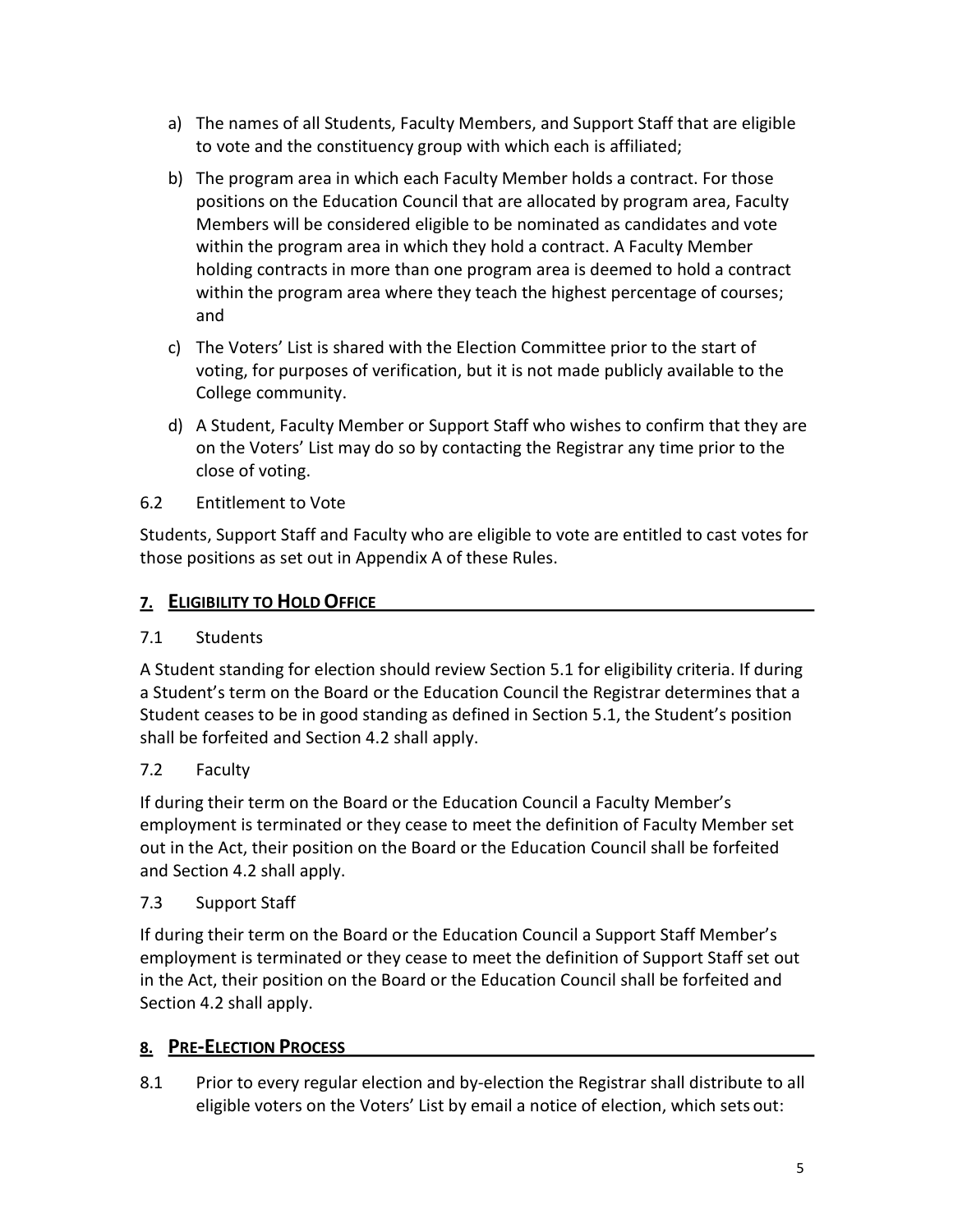- a) The names of all Students, Faculty Members, and Support Staff that are eligible to vote and the constituency group with which each is affiliated;
- b) The program area in which each Faculty Member holds a contract. For those positions on the Education Council that are allocated by program area, Faculty Members will be considered eligible to be nominated as candidates and vote within the program area in which they hold a contract. A Faculty Member holding contracts in more than one program area is deemed to hold a contract within the program area where they teach the highest percentage of courses; and
- c) The Voters' List is shared with the Election Committee prior to the start of voting, for purposes of verification, but it is not made publicly available to the College community.
- d) A Student, Faculty Member or Support Staff who wishes to confirm that they are on the Voters' List may do so by contacting the Registrar any time prior to the close of voting.
- 6.2 Entitlement to Vote

Students, Support Staff and Faculty who are eligible to vote are entitled to cast votes for those positions as set out in Appendix A of these Rules.

## 7. ELIGIBILITY TO HOLD OFFICE

## 7.1 Students

A Student standing for election should review Section 5.1 for eligibility criteria. If during a Student's term on the Board or the Education Council the Registrar determines that a Student ceases to be in good standing as defined in Section 5.1, the Student's position shall be forfeited and Section 4.2 shall apply.

## 7.2 Faculty

If during their term on the Board or the Education Council a Faculty Member's employment is terminated or they cease to meet the definition of Faculty Member set out in the Act, their position on the Board or the Education Council shall be forfeited and Section 4.2 shall apply.

## 7.3 Support Staff

If during their term on the Board or the Education Council a Support Staff Member's employment is terminated or they cease to meet the definition of Support Staff set out in the Act, their position on the Board or the Education Council shall be forfeited and Section 4.2 shall apply.

## 8. PRE-ELECTION PROCESS

8.1 Prior to every regular election and by-election the Registrar shall distribute to all eligible voters on the Voters' List by email a notice of election, which sets out: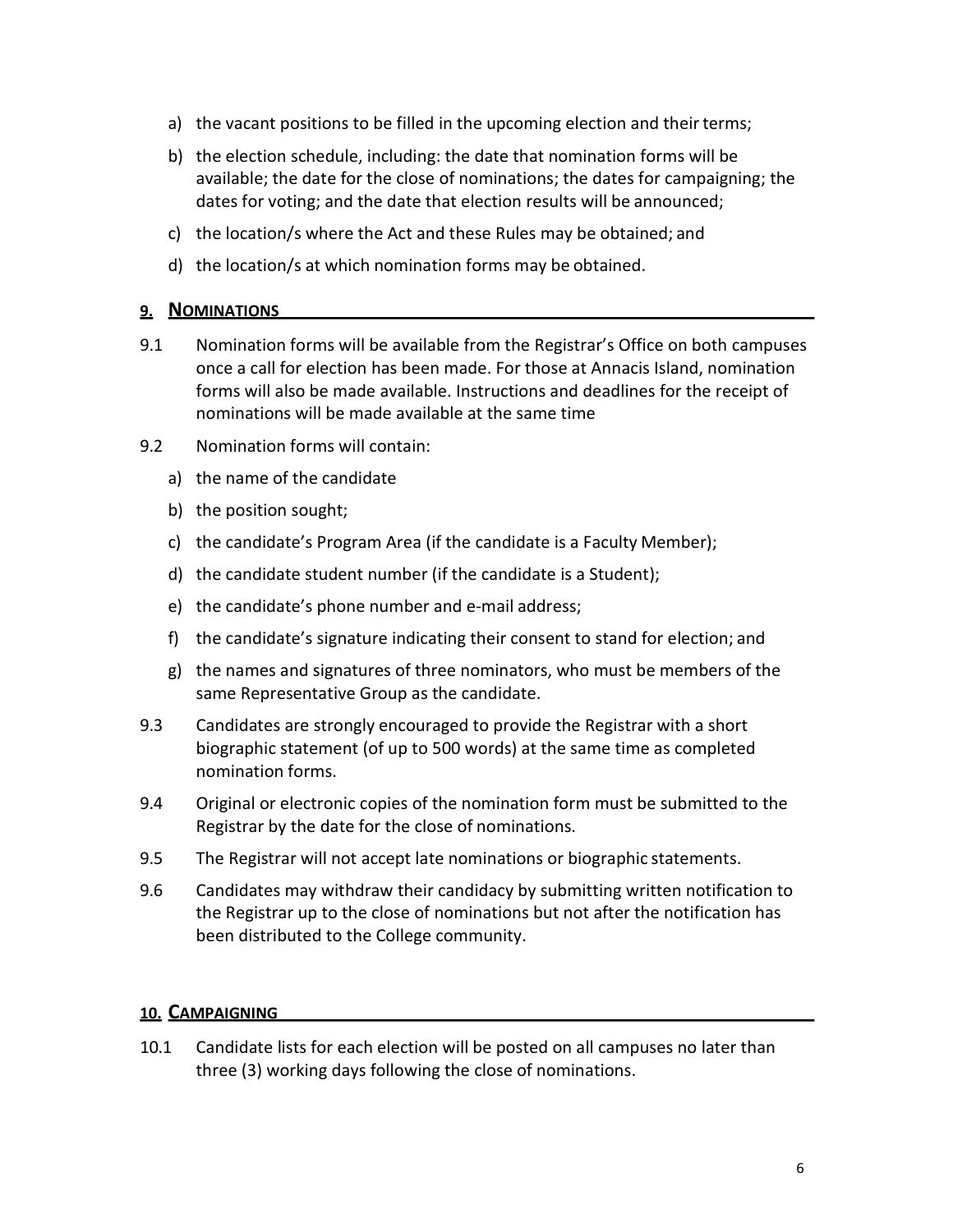- a) the vacant positions to be filled in the upcoming election and their terms;
- b) the election schedule, including: the date that nomination forms will be available; the date for the close of nominations; the dates for campaigning; the dates for voting; and the date that election results will be announced;
- c) the location/s where the Act and these Rules may be obtained; and
- d) the location/s at which nomination forms may be obtained.

#### 9. NOMINATIONS

- 9.1 Nomination forms will be available from the Registrar's Office on both campuses once a call for election has been made. For those at Annacis Island, nomination forms will also be made available. Instructions and deadlines for the receipt of nominations will be made available at the same time
- 9.2 Nomination forms will contain:
	- a) the name of the candidate
	- b) the position sought;
	- c) the candidate's Program Area (if the candidate is a Faculty Member);
	- d) the candidate student number (if the candidate is a Student);
	- e) the candidate's phone number and e-mail address;
	- f) the candidate's signature indicating their consent to stand for election; and
	- g) the names and signatures of three nominators, who must be members of the same Representative Group as the candidate.
- 9.3 Candidates are strongly encouraged to provide the Registrar with a short biographic statement (of up to 500 words) at the same time as completed nomination forms.
- 9.4 Original or electronic copies of the nomination form must be submitted to the Registrar by the date for the close of nominations.
- 9.5 The Registrar will not accept late nominations or biographic statements.
- 9.6 Candidates may withdraw their candidacy by submitting written notification to the Registrar up to the close of nominations but not after the notification has been distributed to the College community.

### 10. CAMPAIGNING

10.1 Candidate lists for each election will be posted on all campuses no later than three (3) working days following the close of nominations.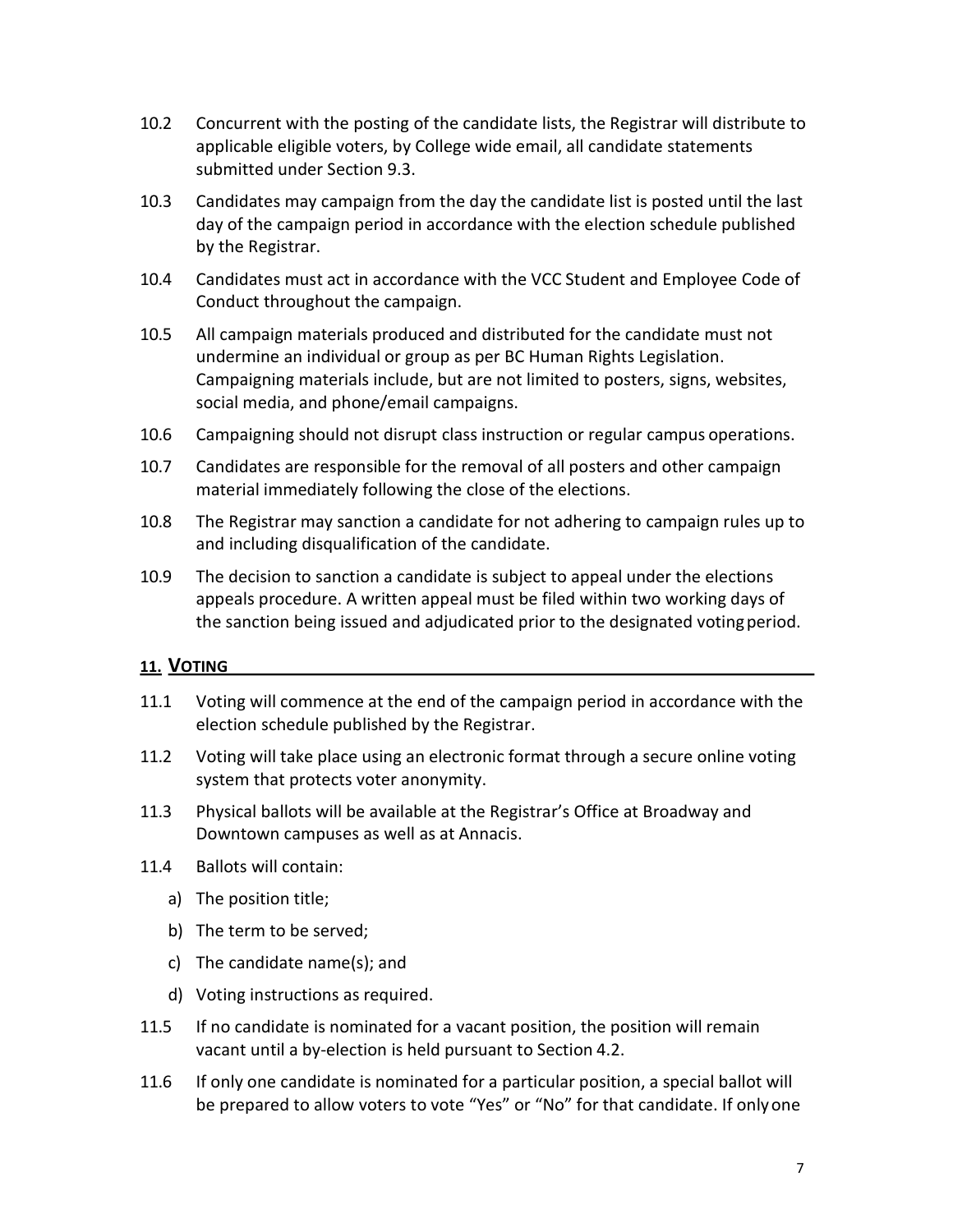- 10.2 Concurrent with the posting of the candidate lists, the Registrar will distribute to applicable eligible voters, by College wide email, all candidate statements submitted under Section 9.3.
- 10.3 Candidates may campaign from the day the candidate list is posted until the last day of the campaign period in accordance with the election schedule published by the Registrar.
- 10.4 Candidates must act in accordance with the VCC Student and Employee Code of Conduct throughout the campaign.
- 10.5 All campaign materials produced and distributed for the candidate must not undermine an individual or group as per BC Human Rights Legislation. Campaigning materials include, but are not limited to posters, signs, websites, social media, and phone/email campaigns.
- 10.6 Campaigning should not disrupt class instruction or regular campus operations.
- 10.7 Candidates are responsible for the removal of all posters and other campaign material immediately following the close of the elections.
- 10.8 The Registrar may sanction a candidate for not adhering to campaign rules up to and including disqualification of the candidate.
- 10.9 The decision to sanction a candidate is subject to appeal under the elections appeals procedure. A written appeal must be filed within two working days of the sanction being issued and adjudicated prior to the designated voting period.

### 11. VOTING

- 11.1 Voting will commence at the end of the campaign period in accordance with the election schedule published by the Registrar.
- 11.2 Voting will take place using an electronic format through a secure online voting system that protects voter anonymity.
- 11.3 Physical ballots will be available at the Registrar's Office at Broadway and Downtown campuses as well as at Annacis.
- 11.4 Ballots will contain:
	- a) The position title;
	- b) The term to be served;
	- c) The candidate name(s); and
	- d) Voting instructions as required.
- 11.5 If no candidate is nominated for a vacant position, the position will remain vacant until a by-election is held pursuant to Section 4.2.
- 11.6 If only one candidate is nominated for a particular position, a special ballot will be prepared to allow voters to vote "Yes" or "No" for that candidate. If only one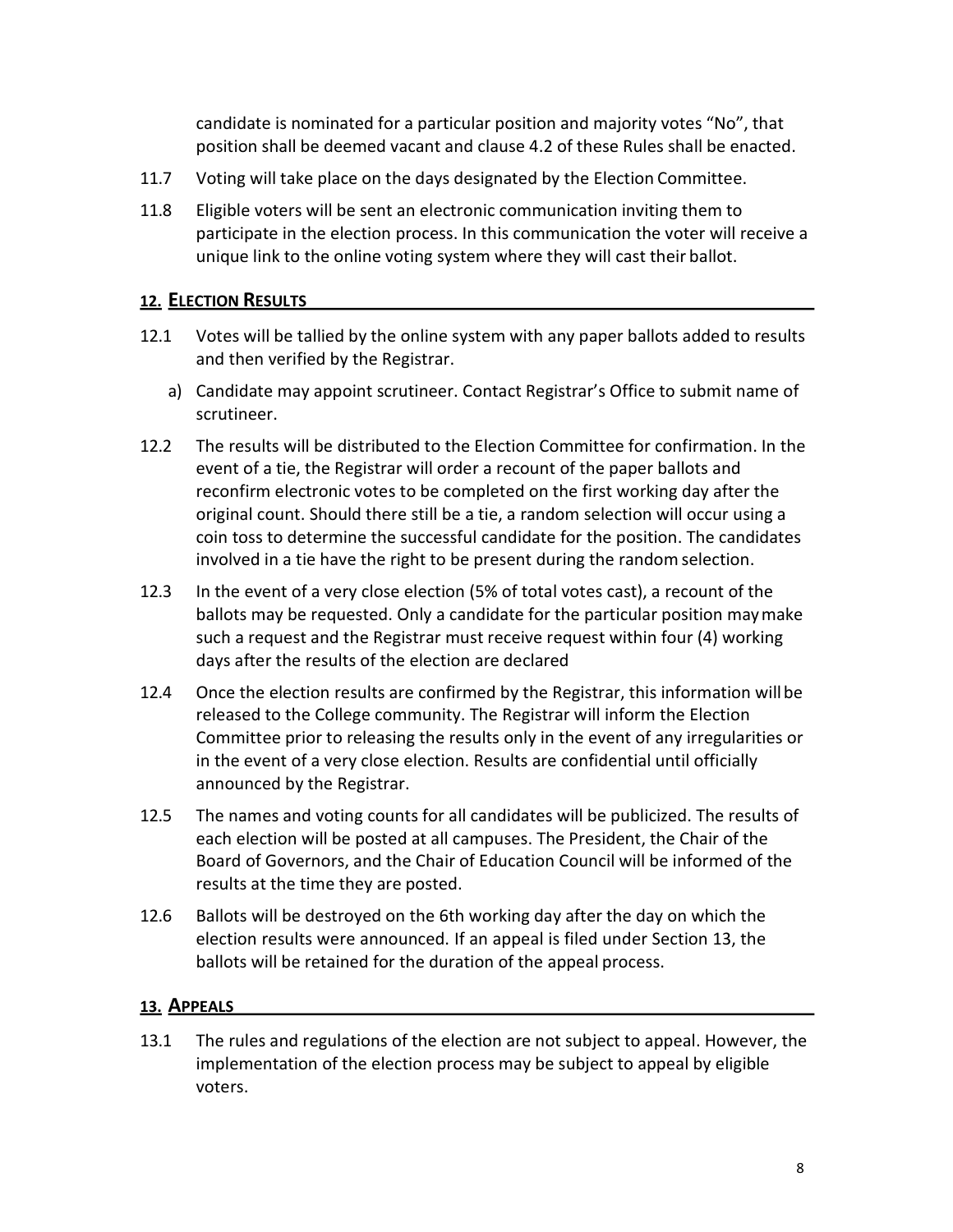candidate is nominated for a particular position and majority votes "No", that position shall be deemed vacant and clause 4.2 of these Rules shall be enacted.

- 11.7 Voting will take place on the days designated by the Election Committee.
- 11.8 Eligible voters will be sent an electronic communication inviting them to participate in the election process. In this communication the voter will receive a unique link to the online voting system where they will cast their ballot.

### 12. ELECTION RESULTS

- 12.1 Votes will be tallied by the online system with any paper ballots added to results and then verified by the Registrar.
	- a) Candidate may appoint scrutineer. Contact Registrar's Office to submit name of scrutineer.
- 12.2 The results will be distributed to the Election Committee for confirmation. In the event of a tie, the Registrar will order a recount of the paper ballots and reconfirm electronic votes to be completed on the first working day after the original count. Should there still be a tie, a random selection will occur using a coin toss to determine the successful candidate for the position. The candidates involved in a tie have the right to be present during the random selection.
- 12.3 In the event of a very close election (5% of total votes cast), a recount of the ballots may be requested. Only a candidate for the particular position may make such a request and the Registrar must receive request within four (4) working days after the results of the election are declared
- 12.4 Once the election results are confirmed by the Registrar, this information will be released to the College community. The Registrar will inform the Election Committee prior to releasing the results only in the event of any irregularities or in the event of a very close election. Results are confidential until officially announced by the Registrar.
- 12.5 The names and voting counts for all candidates will be publicized. The results of each election will be posted at all campuses. The President, the Chair of the Board of Governors, and the Chair of Education Council will be informed of the results at the time they are posted.
- 12.6 Ballots will be destroyed on the 6th working day after the day on which the election results were announced. If an appeal is filed under Section 13, the ballots will be retained for the duration of the appeal process.

### 13. APPEALS

13.1 The rules and regulations of the election are not subject to appeal. However, the implementation of the election process may be subject to appeal by eligible voters.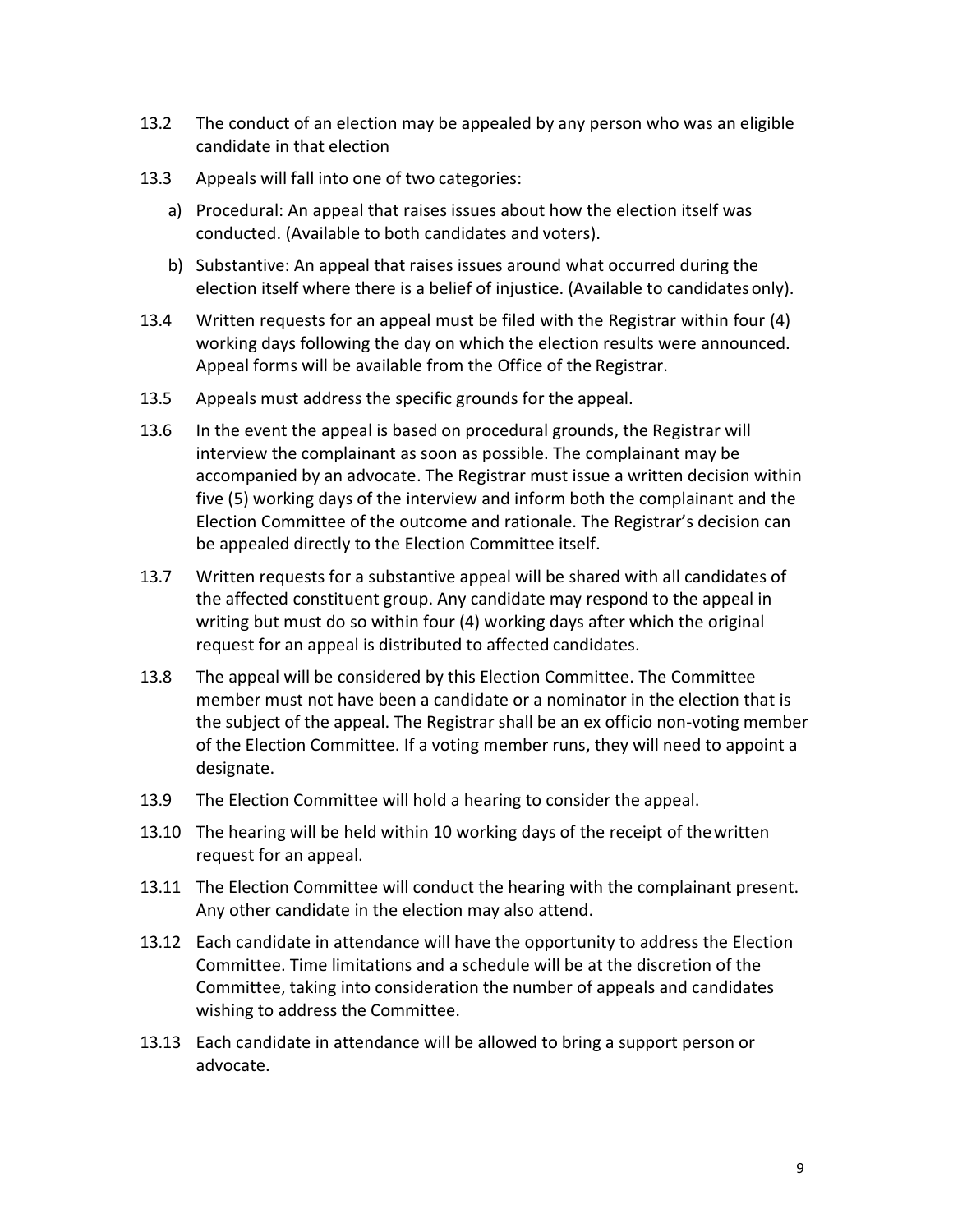- 13.2 The conduct of an election may be appealed by any person who was an eligible candidate in that election
- 13.3 Appeals will fall into one of two categories:
	- a) Procedural: An appeal that raises issues about how the election itself was conducted. (Available to both candidates and voters).
	- b) Substantive: An appeal that raises issues around what occurred during the election itself where there is a belief of injustice. (Available to candidates only).
- 13.4 Written requests for an appeal must be filed with the Registrar within four (4) working days following the day on which the election results were announced. Appeal forms will be available from the Office of the Registrar.
- 13.5 Appeals must address the specific grounds for the appeal.
- 13.6 In the event the appeal is based on procedural grounds, the Registrar will interview the complainant as soon as possible. The complainant may be accompanied by an advocate. The Registrar must issue a written decision within five (5) working days of the interview and inform both the complainant and the Election Committee of the outcome and rationale. The Registrar's decision can be appealed directly to the Election Committee itself.
- 13.7 Written requests for a substantive appeal will be shared with all candidates of the affected constituent group. Any candidate may respond to the appeal in writing but must do so within four (4) working days after which the original request for an appeal is distributed to affected candidates.
- 13.8 The appeal will be considered by this Election Committee. The Committee member must not have been a candidate or a nominator in the election that is the subject of the appeal. The Registrar shall be an ex officio non-voting member of the Election Committee. If a voting member runs, they will need to appoint a designate.
- 13.9 The Election Committee will hold a hearing to consider the appeal.
- 13.10 The hearing will be held within 10 working days of the receipt of the written request for an appeal.
- 13.11 The Election Committee will conduct the hearing with the complainant present. Any other candidate in the election may also attend.
- 13.12 Each candidate in attendance will have the opportunity to address the Election Committee. Time limitations and a schedule will be at the discretion of the Committee, taking into consideration the number of appeals and candidates wishing to address the Committee.
- 13.13 Each candidate in attendance will be allowed to bring a support person or advocate.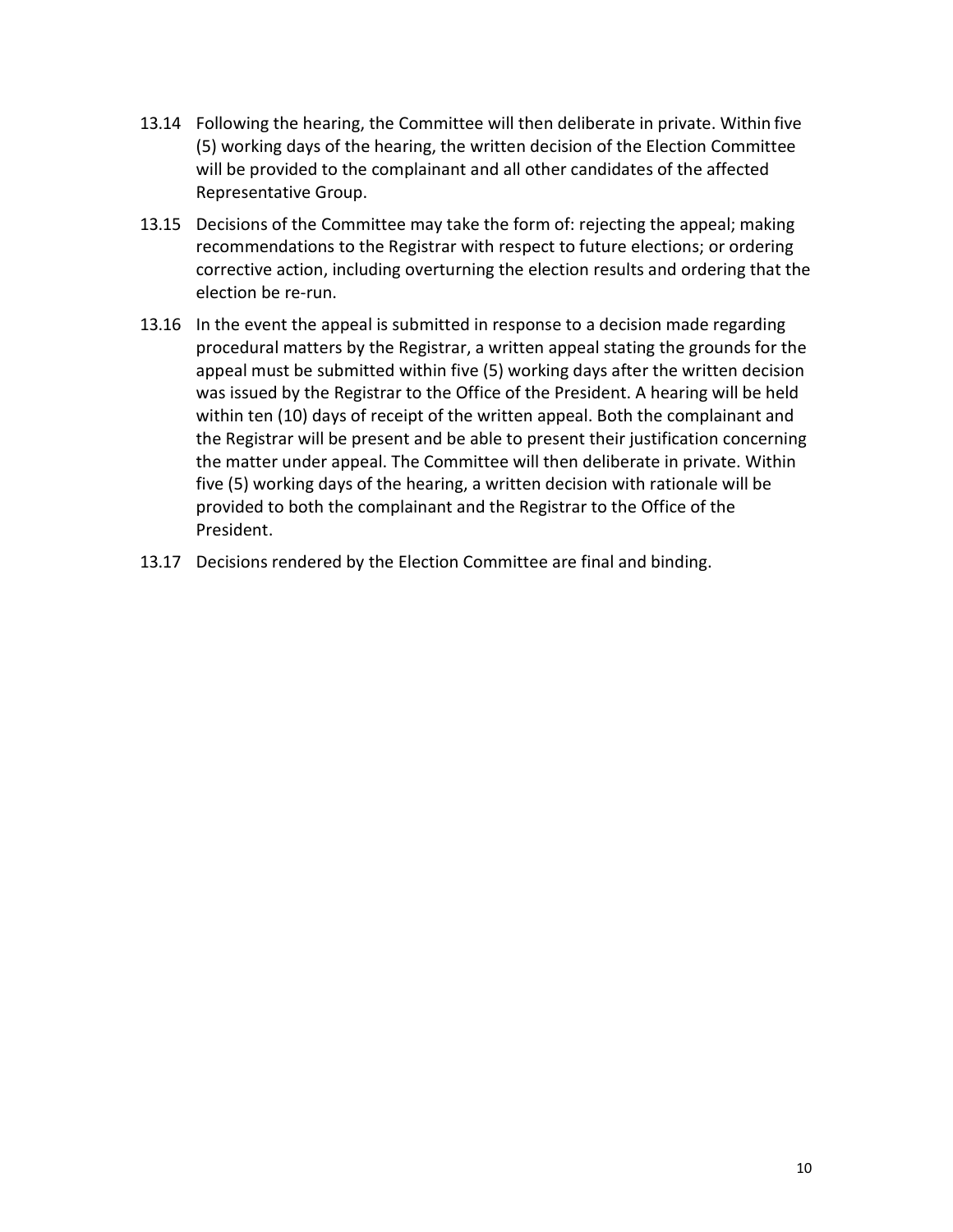- 13.14 Following the hearing, the Committee will then deliberate in private. Within five (5) working days of the hearing, the written decision of the Election Committee will be provided to the complainant and all other candidates of the affected Representative Group.
- 13.15 Decisions of the Committee may take the form of: rejecting the appeal; making recommendations to the Registrar with respect to future elections; or ordering corrective action, including overturning the election results and ordering that the election be re-run.
- 13.16 In the event the appeal is submitted in response to a decision made regarding procedural matters by the Registrar, a written appeal stating the grounds for the appeal must be submitted within five (5) working days after the written decision was issued by the Registrar to the Office of the President. A hearing will be held within ten (10) days of receipt of the written appeal. Both the complainant and the Registrar will be present and be able to present their justification concerning the matter under appeal. The Committee will then deliberate in private. Within five (5) working days of the hearing, a written decision with rationale will be provided to both the complainant and the Registrar to the Office of the President.
- 13.17 Decisions rendered by the Election Committee are final and binding.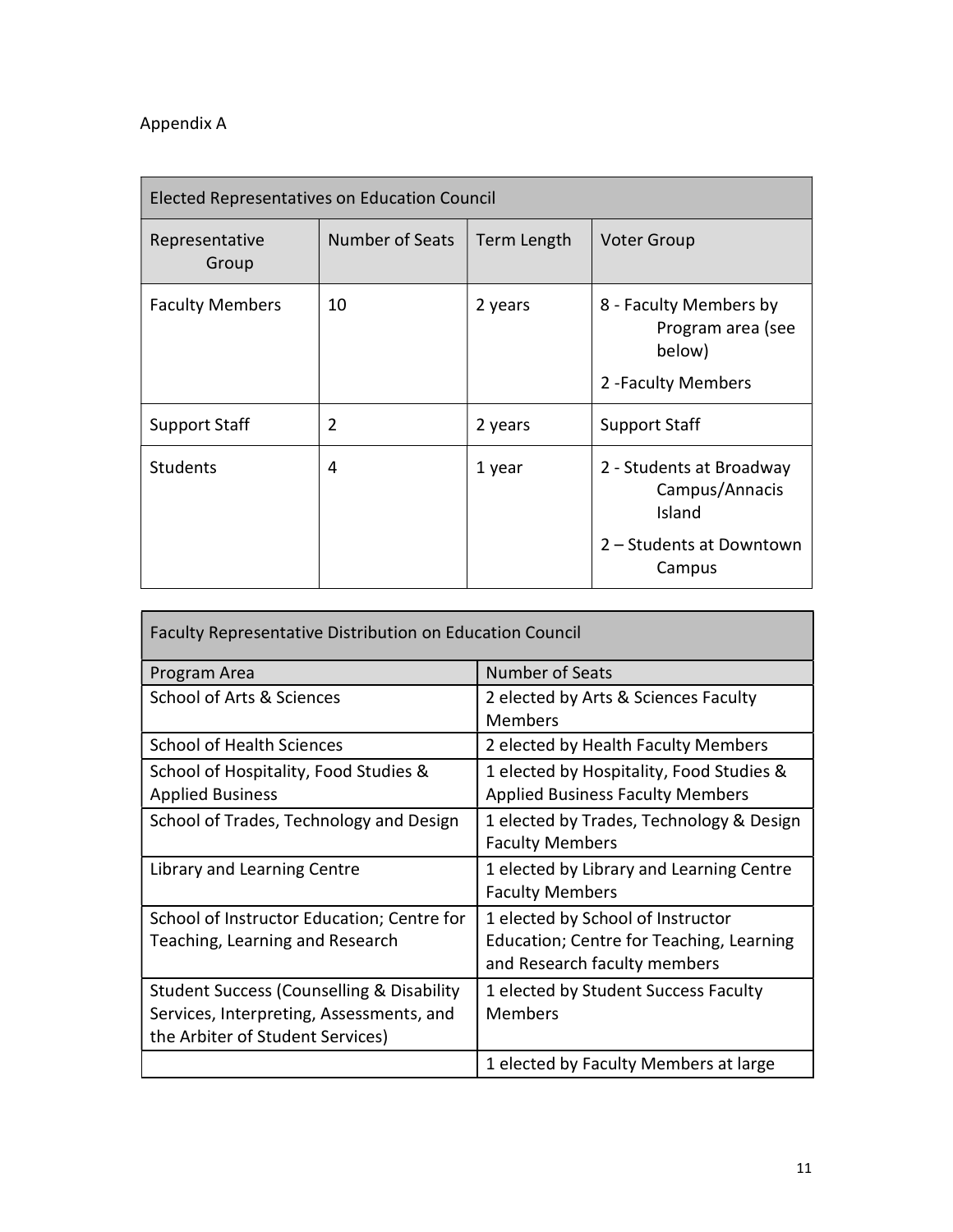# Appendix A

| <b>Elected Representatives on Education Council</b> |                 |             |                                                                                            |  |  |
|-----------------------------------------------------|-----------------|-------------|--------------------------------------------------------------------------------------------|--|--|
| Representative<br>Group                             | Number of Seats | Term Length | <b>Voter Group</b>                                                                         |  |  |
| <b>Faculty Members</b>                              | 10              | 2 years     | 8 - Faculty Members by<br>Program area (see<br>below)<br>2 - Faculty Members               |  |  |
| <b>Support Staff</b>                                | $\overline{2}$  | 2 years     | <b>Support Staff</b>                                                                       |  |  |
| <b>Students</b>                                     | 4               | 1 year      | 2 - Students at Broadway<br>Campus/Annacis<br>Island<br>2 - Students at Downtown<br>Campus |  |  |

| <b>Faculty Representative Distribution on Education Council</b>                                                                      |                                                                                                               |  |  |  |
|--------------------------------------------------------------------------------------------------------------------------------------|---------------------------------------------------------------------------------------------------------------|--|--|--|
| Program Area                                                                                                                         | <b>Number of Seats</b>                                                                                        |  |  |  |
| School of Arts & Sciences                                                                                                            | 2 elected by Arts & Sciences Faculty<br><b>Members</b>                                                        |  |  |  |
| <b>School of Health Sciences</b>                                                                                                     | 2 elected by Health Faculty Members                                                                           |  |  |  |
| School of Hospitality, Food Studies &<br><b>Applied Business</b>                                                                     | 1 elected by Hospitality, Food Studies &<br><b>Applied Business Faculty Members</b>                           |  |  |  |
| School of Trades, Technology and Design                                                                                              | 1 elected by Trades, Technology & Design<br><b>Faculty Members</b>                                            |  |  |  |
| Library and Learning Centre                                                                                                          | 1 elected by Library and Learning Centre<br><b>Faculty Members</b>                                            |  |  |  |
| School of Instructor Education; Centre for<br>Teaching, Learning and Research                                                        | 1 elected by School of Instructor<br>Education; Centre for Teaching, Learning<br>and Research faculty members |  |  |  |
| <b>Student Success (Counselling &amp; Disability</b><br>Services, Interpreting, Assessments, and<br>the Arbiter of Student Services) | 1 elected by Student Success Faculty<br><b>Members</b>                                                        |  |  |  |
|                                                                                                                                      | 1 elected by Faculty Members at large                                                                         |  |  |  |